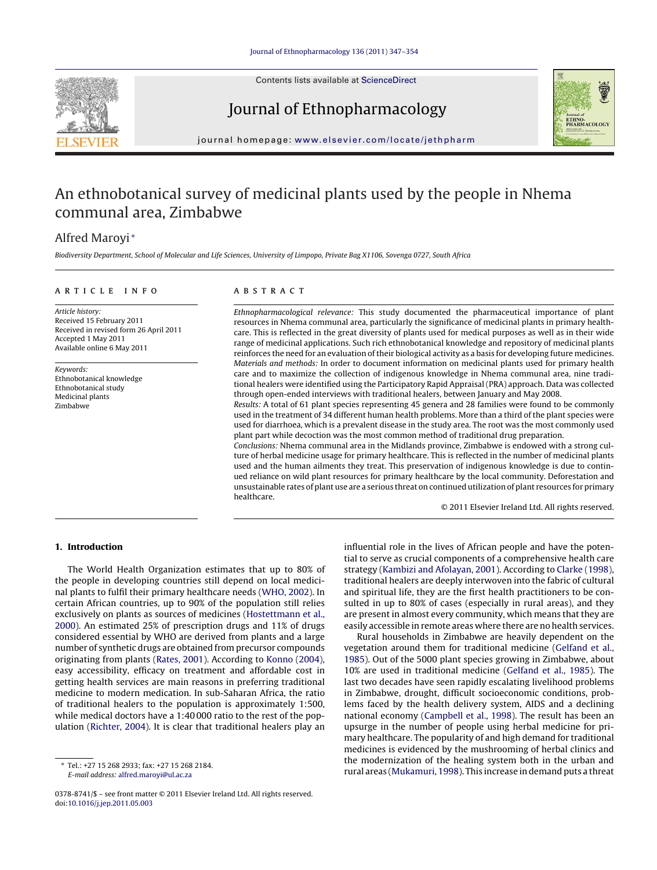

Contents lists available at [ScienceDirect](http://www.sciencedirect.com/science/journal/03788741)

## Journal of Ethnopharmacology



journal homepage: [www.elsevier.com/locate/jethpharm](http://www.elsevier.com/locate/jethpharm)

# An ethnobotanical survey of medicinal plants used by the people in Nhema communal area, Zimbabwe

## Alfred Maroyi <sup>∗</sup>

Biodiversity Department, School of Molecular and Life Sciences, University of Limpopo, Private Bag X1106, Sovenga 0727, South Africa

## article info

Article history: Received 15 February 2011 Received in revised form 26 April 2011 Accepted 1 May 2011 Available online 6 May 2011

Keywords: Ethnobotanical knowledge Ethnobotanical study Medicinal plants Zimbabwe

## **ABSTRACT**

Ethnopharmacological relevance: This study documented the pharmaceutical importance of plant resources in Nhema communal area, particularly the significance of medicinal plants in primary healthcare. This is reflected in the great diversity of plants used for medical purposes as well as in their wide range of medicinal applications. Such rich ethnobotanical knowledge and repository of medicinal plants reinforces the need for an evaluation of their biological activity as a basis for developing future medicines. Materials and methods: In order to document information on medicinal plants used for primary health care and to maximize the collection of indigenous knowledge in Nhema communal area, nine traditional healers were identified using the Participatory Rapid Appraisal (PRA) approach. Data was collected through open-ended interviews with traditional healers, between January and May 2008.

Results: A total of 61 plant species representing 45 genera and 28 families were found to be commonly used in the treatment of 34 different human health problems. More than a third of the plant species were used for diarrhoea, which is a prevalent disease in the study area. The root was the most commonly used plant part while decoction was the most common method of traditional drug preparation.

Conclusions: Nhema communal area in the Midlands province, Zimbabwe is endowed with a strong culture of herbal medicine usage for primary healthcare. This is reflected in the number of medicinal plants used and the human ailments they treat. This preservation of indigenous knowledge is due to continued reliance on wild plant resources for primary healthcare by the local community. Deforestation and unsustainable rates of plant use are a serious threat on continued utilization of plant resources for primary healthcare.

© 2011 Elsevier Ireland Ltd. All rights reserved.

## **1. Introduction**

The World Health Organization estimates that up to 80% of the people in developing countries still depend on local medicinal plants to fulfil their primary healthcare needs ([WHO, 2002\).](#page-7-0) In certain African countries, up to 90% of the population still relies exclusively on plants as sources of medicines [\(Hostettmann et al.,](#page-7-0) [2000\).](#page-7-0) An estimated 25% of prescription drugs and 11% of drugs considered essential by WHO are derived from plants and a large number of synthetic drugs are obtained from precursor compounds originating from plants [\(Rates, 2001\).](#page-7-0) According to [Konno \(2004\),](#page-7-0) easy accessibility, efficacy on treatment and affordable cost in getting health services are main reasons in preferring traditional medicine to modern medication. In sub-Saharan Africa, the ratio of traditional healers to the population is approximately 1:500, while medical doctors have a 1:40 000 ratio to the rest of the population ([Richter, 2004\).](#page-7-0) It is clear that traditional healers play an

influential role in the lives of African people and have the potential to serve as crucial components of a comprehensive health care strategy [\(Kambizi and Afolayan, 2001\).](#page-7-0) According to [Clarke \(1998\),](#page-7-0) traditional healers are deeply interwoven into the fabric of cultural and spiritual life, they are the first health practitioners to be consulted in up to 80% of cases (especially in rural areas), and they are present in almost every community, which means that they are easily accessible in remote areas where there are no health services.

Rural households in Zimbabwe are heavily dependent on the vegetation around them for traditional medicine [\(Gelfand et al.,](#page-7-0) [1985\).](#page-7-0) Out of the 5000 plant species growing in Zimbabwe, about 10% are used in traditional medicine ([Gelfand et al., 1985\).](#page-7-0) The last two decades have seen rapidly escalating livelihood problems in Zimbabwe, drought, difficult socioeconomic conditions, problems faced by the health delivery system, AIDS and a declining national economy [\(Campbell et al., 1998\).](#page-7-0) The result has been an upsurge in the number of people using herbal medicine for primary healthcare. The popularity of and high demand for traditional medicines is evidenced by the mushrooming of herbal clinics and the modernization of the healing system both in the urban and rural areas ([Mukamuri, 1998\).](#page-7-0) This increase in demand puts a threat

<sup>∗</sup> Tel.: +27 15 268 2933; fax: +27 15 268 2184. E-mail address: [alfred.maroyi@ul.ac.za](mailto:alfred.maroyi@ul.ac.za)

<sup>0378-8741/\$ –</sup> see front matter © 2011 Elsevier Ireland Ltd. All rights reserved. doi:[10.1016/j.jep.2011.05.003](dx.doi.org/10.1016/j.jep.2011.05.003)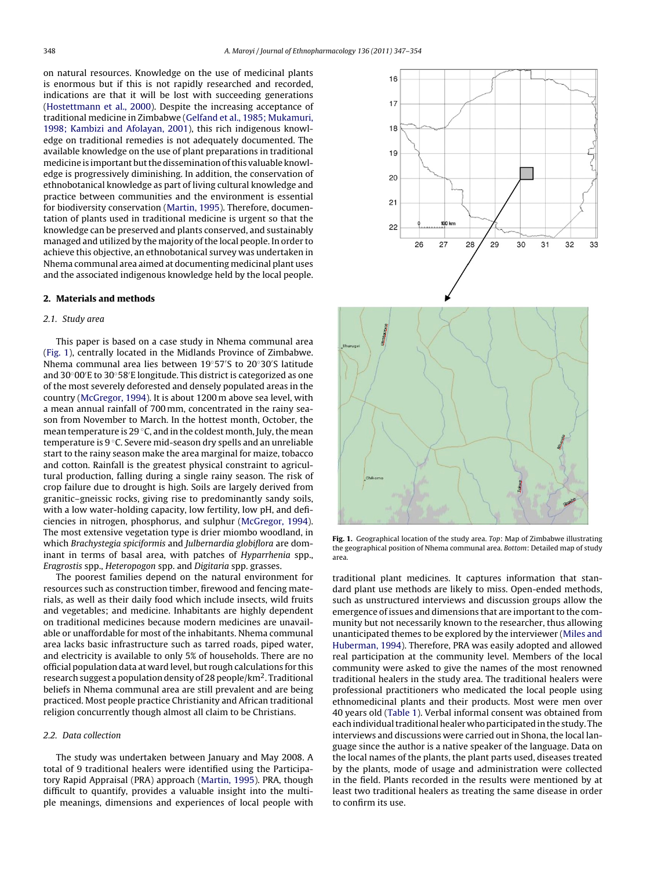on natural resources. Knowledge on the use of medicinal plants is enormous but if this is not rapidly researched and recorded, indications are that it will be lost with succeeding generations ([Hostettmann et al., 2000\).](#page-7-0) Despite the increasing acceptance of traditional medicine in Zimbabwe ([Gelfand et al., 1985; Mukamuri,](#page-7-0) [1998; Kambizi and Afolayan, 2001\),](#page-7-0) this rich indigenous knowledge on traditional remedies is not adequately documented. The available knowledge on the use of plant preparations in traditional medicine is important but the dissemination of this valuable knowledge is progressively diminishing. In addition, the conservation of ethnobotanical knowledge as part of living cultural knowledge and practice between communities and the environment is essential for biodiversity conservation ([Martin, 1995\).](#page-7-0) Therefore, documentation of plants used in traditional medicine is urgent so that the knowledge can be preserved and plants conserved, and sustainably managed and utilized by the majority of the local people. In order to achieve this objective, an ethnobotanical survey was undertaken in Nhema communal area aimed at documenting medicinal plant uses and the associated indigenous knowledge held by the local people.

## **2. Materials and methods**

## 2.1. Study area

This paper is based on a case study in Nhema communal area (Fig. 1), centrally located in the Midlands Province of Zimbabwe. Nhema communal area lies between 19◦57 S to 20◦30 S latitude and 30◦00 E to 30◦58 E longitude. This district is categorized as one of the most severely deforested and densely populated areas in the country ([McGregor, 1994\).](#page-7-0) It is about 1200 m above sea level, with a mean annual rainfall of 700 mm, concentrated in the rainy season from November to March. In the hottest month, October, the mean temperature is 29 ◦C, and in the coldest month, July, the mean temperature is 9 ◦C. Severe mid-season dry spells and an unreliable start to the rainy season make the area marginal for maize, tobacco and cotton. Rainfall is the greatest physical constraint to agricultural production, falling during a single rainy season. The risk of crop failure due to drought is high. Soils are largely derived from granitic–gneissic rocks, giving rise to predominantly sandy soils, with a low water-holding capacity, low fertility, low pH, and deficiencies in nitrogen, phosphorus, and sulphur [\(McGregor, 1994\).](#page-7-0) The most extensive vegetation type is drier miombo woodland, in which Brachystegia spiciformis and Julbernardia globiflora are dominant in terms of basal area, with patches of Hyparrhenia spp., Eragrostis spp., Heteropogon spp. and Digitaria spp. grasses.

The poorest families depend on the natural environment for resources such as construction timber, firewood and fencing materials, as well as their daily food which include insects, wild fruits and vegetables; and medicine. Inhabitants are highly dependent on traditional medicines because modern medicines are unavailable or unaffordable for most of the inhabitants. Nhema communal area lacks basic infrastructure such as tarred roads, piped water, and electricity is available to only 5% of households. There are no official population data at ward level, but rough calculations for this research suggest a population density of 28 people/km2. Traditional beliefs in Nhema communal area are still prevalent and are being practiced. Most people practice Christianity and African traditional religion concurrently though almost all claim to be Christians.

## 2.2. Data collection

The study was undertaken between January and May 2008. A total of 9 traditional healers were identified using the Participatory Rapid Appraisal (PRA) approach ([Martin, 1995\).](#page-7-0) PRA, though difficult to quantify, provides a valuable insight into the multiple meanings, dimensions and experiences of local people with





**Fig. 1.** Geographical location of the study area. Top: Map of Zimbabwe illustrating the geographical position of Nhema communal area. Bottom: Detailed map of study area.

traditional plant medicines. It captures information that standard plant use methods are likely to miss. Open-ended methods, such as unstructured interviews and discussion groups allow the emergence of issues and dimensions that are important to the community but not necessarily known to the researcher, thus allowing unanticipated themes to be explored by the interviewer [\(Miles and](#page-7-0) [Huberman, 1994\).](#page-7-0) Therefore, PRA was easily adopted and allowed real participation at the community level. Members of the local community were asked to give the names of the most renowned traditional healers in the study area. The traditional healers were professional practitioners who medicated the local people using ethnomedicinal plants and their products. Most were men over 40 years old ([Table 1\).](#page-2-0) Verbal informal consent was obtained from each individual traditional healer who participated in the study. The interviews and discussions were carried out in Shona, the local language since the author is a native speaker of the language. Data on the local names of the plants, the plant parts used, diseases treated by the plants, mode of usage and administration were collected in the field. Plants recorded in the results were mentioned by at least two traditional healers as treating the same disease in order to confirm its use.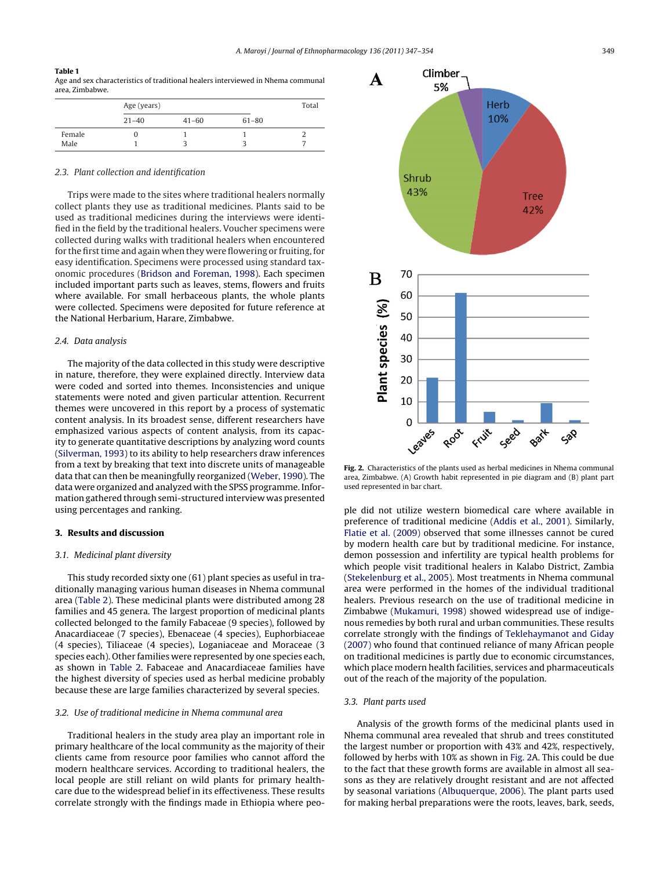#### <span id="page-2-0"></span>**Table 1**

Age and sex characteristics of traditional healers interviewed in Nhema communal area, Zimbabwe.

|        | Age (years) |           |           | Total |
|--------|-------------|-----------|-----------|-------|
|        | $21 - 40$   | $41 - 60$ | $61 - 80$ |       |
| Female |             |           |           |       |
| Male   |             |           |           |       |

## 2.3. Plant collection and identification

Trips were made to the sites where traditional healers normally collect plants they use as traditional medicines. Plants said to be used as traditional medicines during the interviews were identified in the field by the traditional healers. Voucher specimens were collected during walks with traditional healers when encountered for the first time and again when they were flowering or fruiting, for easy identification. Specimens were processed using standard taxonomic procedures ([Bridson and Foreman, 1998\).](#page-7-0) Each specimen included important parts such as leaves, stems, flowers and fruits where available. For small herbaceous plants, the whole plants were collected. Specimens were deposited for future reference at the National Herbarium, Harare, Zimbabwe.

### 2.4. Data analysis

The majority of the data collected in this study were descriptive in nature, therefore, they were explained directly. Interview data were coded and sorted into themes. Inconsistencies and unique statements were noted and given particular attention. Recurrent themes were uncovered in this report by a process of systematic content analysis. In its broadest sense, different researchers have emphasized various aspects of content analysis, from its capacity to generate quantitative descriptions by analyzing word counts ([Silverman, 1993\)](#page-7-0) to its ability to help researchers draw inferences from a text by breaking that text into discrete units of manageable data that can then be meaningfully reorganized [\(Weber, 1990\).](#page-7-0) The data were organized and analyzed with the SPSS programme. Information gathered through semi-structured interview was presented using percentages and ranking.

## **3. Results and discussion**

## 3.1. Medicinal plant diversity

This study recorded sixty one (61) plant species as useful in traditionally managing various human diseases in Nhema communal area [\(Table 2\).](#page-3-0) These medicinal plants were distributed among 28 families and 45 genera. The largest proportion of medicinal plants collected belonged to the family Fabaceae (9 species), followed by Anacardiaceae (7 species), Ebenaceae (4 species), Euphorbiaceae (4 species), Tiliaceae (4 species), Loganiaceae and Moraceae (3 species each). Other families were represented by one species each, as shown in [Table 2.](#page-3-0) Fabaceae and Anacardiaceae families have the highest diversity of species used as herbal medicine probably because these are large families characterized by several species.

#### 3.2. Use of traditional medicine in Nhema communal area

Traditional healers in the study area play an important role in primary healthcare of the local community as the majority of their clients came from resource poor families who cannot afford the modern healthcare services. According to traditional healers, the local people are still reliant on wild plants for primary healthcare due to the widespread belief in its effectiveness. These results correlate strongly with the findings made in Ethiopia where peo-



**Fig. 2.** Characteristics of the plants used as herbal medicines in Nhema communal area, Zimbabwe. (A) Growth habit represented in pie diagram and (B) plant part used represented in bar chart.

ple did not utilize western biomedical care where available in preference of traditional medicine ([Addis et al., 2001\).](#page-7-0) Similarly, [Flatie et al. \(2009\)](#page-7-0) observed that some illnesses cannot be cured by modern health care but by traditional medicine. For instance, demon possession and infertility are typical health problems for which people visit traditional healers in Kalabo District, Zambia [\(Stekelenburg et al., 2005\).](#page-7-0) Most treatments in Nhema communal area were performed in the homes of the individual traditional healers. Previous research on the use of traditional medicine in Zimbabwe ([Mukamuri, 1998\)](#page-7-0) showed widespread use of indigenous remedies by both rural and urban communities. These results correlate strongly with the findings of [Teklehaymanot and Giday](#page-7-0) [\(2007\)](#page-7-0) who found that continued reliance of many African people on traditional medicines is partly due to economic circumstances, which place modern health facilities, services and pharmaceuticals out of the reach of the majority of the population.

## 3.3. Plant parts used

Analysis of the growth forms of the medicinal plants used in Nhema communal area revealed that shrub and trees constituted the largest number or proportion with 43% and 42%, respectively, followed by herbs with 10% as shown in Fig. 2A. This could be due to the fact that these growth forms are available in almost all seasons as they are relatively drought resistant and are not affected by seasonal variations [\(Albuquerque, 2006\).](#page-7-0) The plant parts used for making herbal preparations were the roots, leaves, bark, seeds,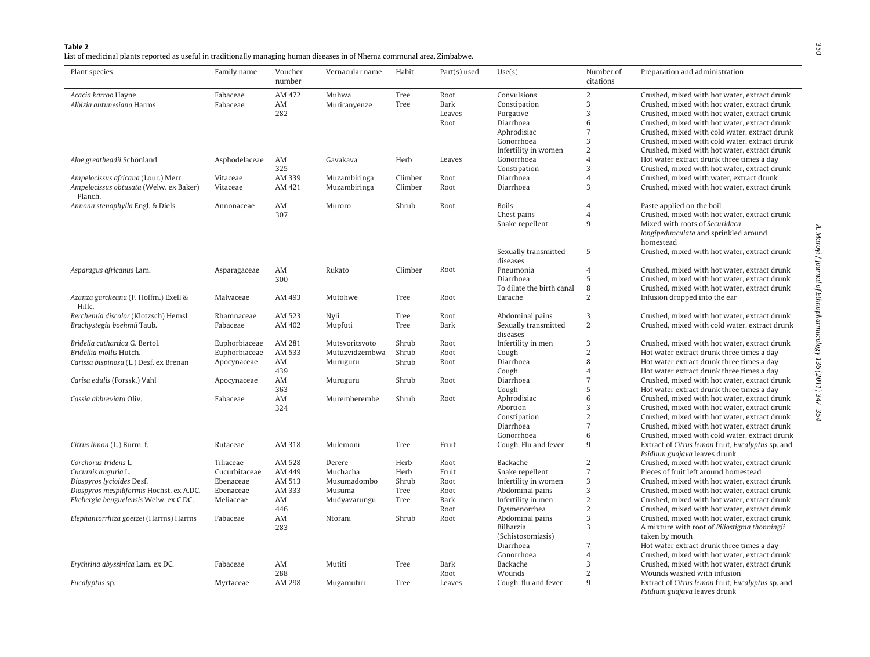<span id="page-3-0"></span>

| Plant species                                  | Family name   | Voucher<br>number | Vernacular name | Habit   | Part(s) used | Use(s)                    | Number of<br>citations | Preparation and administration                                                    |
|------------------------------------------------|---------------|-------------------|-----------------|---------|--------------|---------------------------|------------------------|-----------------------------------------------------------------------------------|
| Acacia karroo Hayne                            | Fabaceae      | AM 472            | Muhwa           | Tree    | Root         | Convulsions               | 2                      | Crushed, mixed with hot water, extract drunk                                      |
| Albizia antunesiana Harms                      | Fabaceae      | AM                | Muriranyenze    | Tree    | <b>Bark</b>  | Constipation              | 3                      | Crushed, mixed with hot water, extract drunk                                      |
|                                                |               | 282               |                 |         | Leaves       | Purgative                 | 3                      | Crushed, mixed with hot water, extract drunk                                      |
|                                                |               |                   |                 |         | Root         | Diarrhoea                 | 6                      | Crushed, mixed with hot water, extract drunk                                      |
|                                                |               |                   |                 |         |              | Aphrodisiac               | $\overline{7}$         | Crushed, mixed with cold water, extract drunk                                     |
|                                                |               |                   |                 |         |              | Gonorrhoea                | $\overline{3}$         | Crushed, mixed with cold water, extract drunk                                     |
|                                                |               |                   |                 |         |              | Infertility in women      | 2                      | Crushed, mixed with hot water, extract drunk                                      |
| Aloe greatheadii Schönland                     | Asphodelaceae | AM                | Gavakava        | Herb    | Leaves       | Gonorrhoea                | $\overline{4}$         | Hot water extract drunk three times a day                                         |
|                                                |               | 325               |                 |         |              | Constipation              | 3                      | Crushed, mixed with hot water, extract drunk                                      |
| Ampelocissus africana (Lour.) Merr.            | Vitaceae      | AM 339            | Muzambiringa    | Climber | Root         | Diarrhoea                 | $\overline{4}$         | Crushed, mixed with water, extract drunk                                          |
| Ampelocissus obtusata (Welw. ex Baker)         | Vitaceae      | AM 421            | Muzambiringa    | Climber | Root         | Diarrhoea                 | 3                      | Crushed, mixed with hot water, extract drunk                                      |
| Planch.                                        |               |                   |                 |         |              |                           |                        |                                                                                   |
| Annona stenophylla Engl. & Diels               | Annonaceae    | AM                | Muroro          | Shrub   | Root         | <b>Boils</b>              | $\overline{4}$         | Paste applied on the boil                                                         |
|                                                |               | 307               |                 |         |              | Chest pains               | $\overline{4}$         | Crushed, mixed with hot water, extract drunk                                      |
|                                                |               |                   |                 |         |              | Snake repellent           | 9                      | Mixed with roots of Securidaca                                                    |
|                                                |               |                   |                 |         |              |                           |                        | longipedunculata and sprinkled around<br>homestead                                |
|                                                |               |                   |                 |         |              | Sexually transmitted      | 5                      | Crushed, mixed with hot water, extract drunk                                      |
|                                                |               |                   |                 |         |              | diseases                  |                        |                                                                                   |
|                                                |               | AM                | Rukato          | Climber | Root         | Pneumonia                 | $\overline{4}$         | Crushed, mixed with hot water, extract drunk                                      |
| Asparagus africanus Lam.                       | Asparagaceae  |                   |                 |         |              |                           |                        |                                                                                   |
|                                                |               | 300               |                 |         |              | Diarrhoea                 | 5                      | Crushed, mixed with hot water, extract drunk                                      |
|                                                |               |                   |                 |         |              | To dilate the birth canal | 8                      | Crushed, mixed with hot water, extract drunk                                      |
| Azanza garckeana (F. Hoffm.) Exell &<br>Hillc. | Malvaceae     | AM 493            | Mutohwe         | Tree    | Root         | Earache                   | $\overline{c}$         | Infusion dropped into the ear                                                     |
| Berchemia discolor (Klotzsch) Hemsl.           | Rhamnaceae    | AM 523            | Nyii            | Tree    | Root         | Abdominal pains           | 3                      | Crushed, mixed with hot water, extract drunk                                      |
| Brachystegia boehmii Taub.                     | Fabaceae      | AM 402            | Mupfuti         | Tree    | <b>Bark</b>  | Sexually transmitted      | 2                      | Crushed, mixed with cold water, extract drunk                                     |
|                                                |               |                   |                 |         |              | diseases                  |                        |                                                                                   |
| Bridelia cathartica G. Bertol.                 | Euphorbiaceae | AM 281            | Mutsvoritsvoto  | Shrub   | Root         | Infertility in men        | 3                      | Crushed, mixed with hot water, extract drunk                                      |
| Bridellia mollis Hutch.                        | Euphorbiaceae | AM 533            | Mutuzvidzembwa  | Shrub   | Root         | Cough                     | $\overline{2}$         | Hot water extract drunk three times a day                                         |
| Carissa bispinosa (L.) Desf. ex Brenan         | Apocynaceae   | AM                | Muruguru        | Shrub   | Root         | Diarrhoea                 | 8                      | Hot water extract drunk three times a day                                         |
|                                                |               | 439               |                 |         |              | Cough                     | $\overline{4}$         | Hot water extract drunk three times a day                                         |
| Carisa edulis (Forssk.) Vahl                   |               | AM                | Muruguru        | Shrub   | Root         | Diarrhoea                 | $\overline{7}$         | Crushed, mixed with hot water, extract drunk                                      |
|                                                | Apocynaceae   | 363               |                 |         |              |                           | 5                      |                                                                                   |
|                                                |               |                   |                 |         |              | Cough                     |                        | Hot water extract drunk three times a day                                         |
| Cassia abbreviata Oliv.                        | Fabaceae      | AM                | Muremberembe    | Shrub   | Root         | Aphrodisiac               | 6                      | Crushed, mixed with hot water, extract drunk                                      |
|                                                |               | 324               |                 |         |              | Abortion                  | 3                      | Crushed, mixed with hot water, extract drunk                                      |
|                                                |               |                   |                 |         |              | Constipation              | $\overline{2}$         | Crushed, mixed with hot water, extract drunk                                      |
|                                                |               |                   |                 |         |              | Diarrhoea                 | $\overline{7}$         | Crushed, mixed with hot water, extract drunk                                      |
|                                                |               |                   |                 |         |              | Gonorrhoea                | 6                      | Crushed, mixed with cold water, extract drunk                                     |
| Citrus limon (L.) Burm. f.                     | Rutaceae      | AM 318            | Mulemoni        | Tree    | Fruit        | Cough, Flu and fever      | 9                      | Extract of Citrus lemon fruit, Eucalyptus sp. and<br>Psidium guajava leaves drunk |
| Corchorus tridens L.                           | Tiliaceae     | AM 528            | Derere          | Herb    | Root         | Backache                  | 2                      | Crushed, mixed with hot water, extract drunk                                      |
| Cucumis anguria L.                             | Cucurbitaceae | AM 449            | Muchacha        | Herb    | Fruit        | Snake repellent           | $\overline{7}$         | Pieces of fruit left around homestead                                             |
| Diospyros lycioides Desf.                      | Ebenaceae     | AM 513            | Musumadombo     | Shrub   | Root         | Infertility in women      | 3                      | Crushed, mixed with hot water, extract drunk                                      |
| Diospyros mespiliformis Hochst. ex A.DC.       | Ebenaceae     | AM 333            | Musuma          | Tree    | Root         | Abdominal pains           | 3                      | Crushed, mixed with hot water, extract drunk                                      |
| Ekebergia benguelensis Welw. ex C.DC.          | Meliaceae     | AM                | Mudyavarungu    | Tree    | <b>Bark</b>  | Infertility in men        | 2                      | Crushed, mixed with hot water, extract drunk                                      |
|                                                |               |                   |                 |         | Root         | Dysmenorrhea              | $\overline{c}$         | Crushed, mixed with hot water, extract drunk                                      |
|                                                |               | 446               |                 |         |              |                           |                        |                                                                                   |
| Elephantorrhiza goetzei (Harms) Harms          | Fabaceae      | AM                | Ntorani         | Shrub   | Root         | Abdominal pains           | 3                      | Crushed, mixed with hot water, extract drunk                                      |
|                                                |               | 283               |                 |         |              | Bilharzia                 | 3                      | A mixture with root of Piliostigma thonningii                                     |
|                                                |               |                   |                 |         |              | (Schistosomiasis)         |                        | taken by mouth                                                                    |
|                                                |               |                   |                 |         |              | Diarrhoea                 | $\overline{7}$         | Hot water extract drunk three times a day                                         |
|                                                |               |                   |                 |         |              | Gonorrhoea                | $\overline{4}$         | Crushed, mixed with hot water, extract drunk                                      |
| Erythrina abyssinica Lam. ex DC.               | Fabaceae      | AM                | Mutiti          | Tree    | Bark         | Backache                  | 3                      | Crushed, mixed with hot water, extract drunk                                      |
|                                                |               | 288               |                 |         | Root         | Wounds                    | $\overline{2}$         | Wounds washed with infusion                                                       |
| Eucalyptus sp.                                 | Myrtaceae     | AM 298            | Mugamutiri      | Tree    | Leaves       | Cough, flu and fever      | 9                      | Extract of Citrus lemon fruit, Eucalyptus sp. and                                 |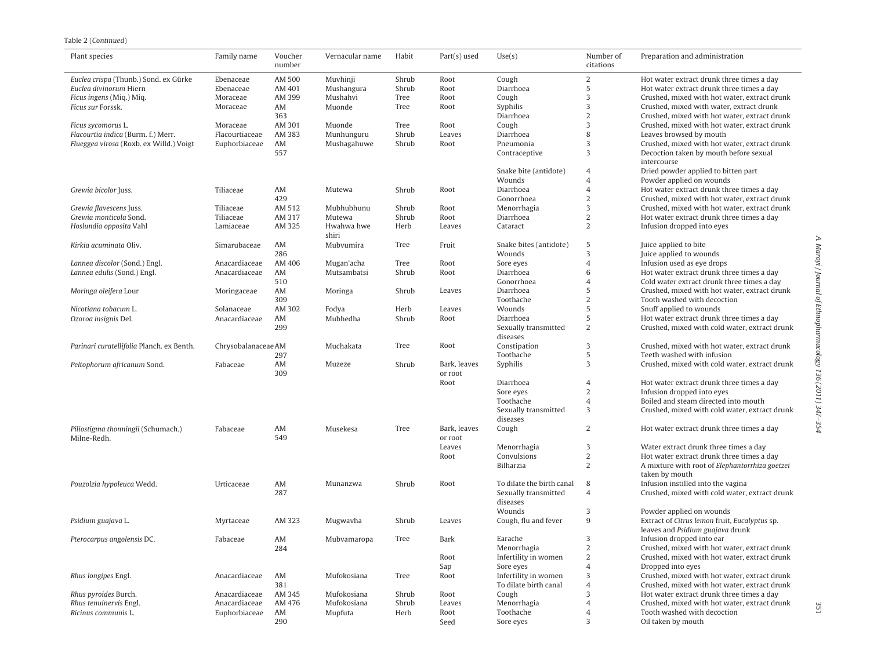| Plant species                                     | Family name         | Voucher<br>number | Vernacular name | Habit | $Part(s)$ used          | Use(s)                           | Number of<br>citations | Preparation and administration                                                    |
|---------------------------------------------------|---------------------|-------------------|-----------------|-------|-------------------------|----------------------------------|------------------------|-----------------------------------------------------------------------------------|
| Euclea crispa (Thunb.) Sond. ex Gürke             | Ebenaceae           | AM 500            | Muvhinji        | Shrub | Root                    | Cough                            | $\overline{c}$         | Hot water extract drunk three times a day                                         |
| Euclea divinorum Hiern                            | Ebenaceae           | AM 401            | Mushangura      | Shrub | Root                    | Diarrhoea                        | $\sqrt{5}$             | Hot water extract drunk three times a day                                         |
| Ficus ingens (Miq.) Miq.                          | Moraceae            | AM 399            | Mushahvi        | Tree  | Root                    | Cough                            | 3                      | Crushed, mixed with hot water, extract drunk                                      |
| Ficus sur Forssk.                                 | Moraceae            | AM                | Muonde          | Tree  | Root                    | Syphilis                         | 3                      | Crushed, mixed with water, extract drunk                                          |
|                                                   |                     | 363               |                 |       |                         | Diarrhoea                        | $\sqrt{2}$             | Crushed, mixed with hot water, extract drunk                                      |
| Ficus sycomorus L.                                | Moraceae            | AM 301            | Muonde          | Tree  | Root                    | Cough                            | 3                      | Crushed, mixed with hot water, extract drunk                                      |
| Flacourtia indica (Burm. f.) Merr.                | Flacourtiaceae      | AM 383            | Munhunguru      | Shrub | Leaves                  | Diarrhoea                        | $\,$ 8 $\,$            | Leaves browsed by mouth                                                           |
| Flueggea virosa (Roxb. ex Willd.) Voigt           | Euphorbiaceae       | AM                | Mushagahuwe     | Shrub | Root                    | Pneumonia                        | 3                      | Crushed, mixed with hot water, extract drunk                                      |
|                                                   |                     | 557               |                 |       |                         | Contraceptive                    | 3                      | Decoction taken by mouth before sexual<br>intercourse                             |
|                                                   |                     |                   |                 |       |                         | Snake bite (antidote)            | $\overline{4}$         | Dried powder applied to bitten part                                               |
|                                                   |                     |                   |                 |       |                         | Wounds                           | $\overline{4}$         | Powder applied on wounds                                                          |
| Grewia bicolor Juss.                              | Tiliaceae           | AM                | Mutewa          | Shrub | Root                    | Diarrhoea                        | $\sqrt{4}$             | Hot water extract drunk three times a day                                         |
|                                                   |                     | 429               |                 |       |                         | Gonorrhoea                       | $\sqrt{2}$             | Crushed, mixed with hot water, extract drunk                                      |
| Grewia flavescens Juss.                           | Tiliaceae           | AM 512            | Mubhubhunu      | Shrub | Root                    | Menorrhagia                      | 3                      | Crushed, mixed with hot water, extract drunk                                      |
| Grewia monticola Sond.                            | Tiliaceae           | AM 317            | Mutewa          | Shrub | Root                    | Diarrhoea                        | $\sqrt{2}$             | Hot water extract drunk three times a day                                         |
| Hoslundia opposita Vahl                           | Lamiaceae           | AM 325            | Hwahwa hwe      | Herb  | Leaves                  | Cataract                         | $\overline{2}$         | Infusion dropped into eyes                                                        |
| Kirkia acuminata Oliv.                            |                     |                   | shiri           | Tree  | Fruit                   | Snake bites (antidote)           | $\sqrt{5}$             | Juice applied to bite                                                             |
|                                                   | Simarubaceae        | AM                | Mubvumira       |       |                         |                                  | 3                      |                                                                                   |
|                                                   |                     | 286               |                 |       |                         | Wounds                           |                        | Juice applied to wounds                                                           |
| Lannea discolor (Sond.) Engl.                     | Anacardiaceae       | AM 406            | Mugan'acha      | Tree  | Root                    | Sore eyes                        | $\sqrt{4}$             | Infusion used as eye drops                                                        |
| Lannea edulis (Sond.) Engl.                       | Anacardiaceae       | AM                | Mutsambatsi     | Shrub | Root                    | Diarrhoea                        | $\,6\,$                | Hot water extract drunk three times a day                                         |
|                                                   |                     | 510               |                 |       |                         | Gonorrhoea                       | $\overline{4}$         | Cold water extract drunk three times a day                                        |
| Moringa oleifera Lour                             | Moringaceae         | AM                | Moringa         | Shrub | Leaves                  | Diarrhoea                        | 5                      | Crushed, mixed with hot water, extract drunk                                      |
|                                                   |                     | 309               |                 |       |                         | Toothache                        | $\sqrt{2}$             | Tooth washed with decoction                                                       |
| Nicotiana tobacum L.                              | Solanaceae          | AM 302            | Fodya           | Herb  | Leaves                  | Wounds                           | $\overline{5}$         | Snuff applied to wounds                                                           |
| Ozoroa insignis Del.                              | Anacardiaceae       | AM                | Mubhedha        | Shrub | Root                    | Diarrhoea                        | $\sqrt{5}$             | Hot water extract drunk three times a day                                         |
|                                                   |                     | 299               |                 |       |                         | Sexually transmitted<br>diseases | $\overline{2}$         | Crushed, mixed with cold water, extract drunk                                     |
| Parinari curatellifolia Planch. ex Benth.         | Chrysobalanaceae AM |                   | Muchakata       | Tree  | Root                    | Constipation                     | 3                      | Crushed, mixed with hot water, extract drunk                                      |
|                                                   |                     | 297               |                 |       |                         | Toothache                        | $\sqrt{5}$             | Teeth washed with infusion                                                        |
| Peltophorum africanum Sond.                       | Fabaceae            | AM<br>309         | Muzeze          | Shrub | Bark, leaves<br>or root | Syphilis                         | 3                      | Crushed, mixed with cold water, extract drunk                                     |
|                                                   |                     |                   |                 |       | Root                    | Diarrhoea                        | $\overline{4}$         | Hot water extract drunk three times a day                                         |
|                                                   |                     |                   |                 |       |                         | Sore eyes                        | $\sqrt{2}$             | Infusion dropped into eyes                                                        |
|                                                   |                     |                   |                 |       |                         | Toothache                        | $\sqrt{4}$             | Boiled and steam directed into mouth                                              |
|                                                   |                     |                   |                 |       |                         | Sexually transmitted<br>diseases | 3                      | Crushed, mixed with cold water, extract drunk                                     |
| Piliostigma thonningii (Schumach.)<br>Milne-Redh. | Fabaceae            | AM<br>549         | Musekesa        | Tree  | Bark, leaves<br>or root | Cough                            | $\overline{2}$         | Hot water extract drunk three times a day                                         |
|                                                   |                     |                   |                 |       | Leaves                  | Menorrhagia                      | 3                      | Water extract drunk three times a day                                             |
|                                                   |                     |                   |                 |       | Root                    | Convulsions                      | $\sqrt{2}$             | Hot water extract drunk three times a day                                         |
|                                                   |                     |                   |                 |       |                         | Bilharzia                        | $\overline{2}$         | A mixture with root of Elephantorrhiza goetzei<br>taken by mouth                  |
| Pouzolzia hypoleuca Wedd.                         | Urticaceae          | AM                | Munanzwa        | Shrub | Root                    | To dilate the birth canal        | 8                      | Infusion instilled into the vagina                                                |
|                                                   |                     | 287               |                 |       |                         | Sexually transmitted<br>diseases | $\overline{4}$         | Crushed, mixed with cold water, extract drunk                                     |
|                                                   |                     |                   |                 |       |                         | Wounds                           | 3                      | Powder applied on wounds                                                          |
| Psidium guajava L.                                | Myrtaceae           | AM 323            | Mugwayha        | Shrub | Leaves                  | Cough, flu and fever             | $9\,$                  | Extract of Citrus lemon fruit, Eucalyptus sp.<br>leaves and Psidium guajava drunk |
| Pterocarpus angolensis DC.                        | Fabaceae            | AM                | Mubvamaropa     | Tree  | Bark                    | Earache                          | 3                      | Infusion dropped into ear                                                         |
|                                                   |                     | 284               |                 |       |                         | Menorrhagia                      | $\sqrt{2}$             | Crushed, mixed with hot water, extract drunk                                      |
|                                                   |                     |                   |                 |       | Root                    | Infertility in women             | $\sqrt{2}$             | Crushed, mixed with hot water, extract drunk                                      |
|                                                   |                     |                   |                 |       | Sap                     | Sore eyes                        | $\overline{4}$         | Dropped into eyes                                                                 |
| Rhus longipes Engl.                               | Anacardiaceae       | AM                | Mufokosiana     | Tree  | Root                    | Infertility in women             | 3                      | Crushed, mixed with hot water, extract drunk                                      |
|                                                   |                     | 381               |                 |       |                         | To dilate birth canal            | $\sqrt{4}$             | Crushed, mixed with hot water, extract drunk                                      |
| Rhus pyroides Burch.                              | Anacardiaceae       | AM 345            | Mufokosiana     | Shrub | Root                    | Cough                            | 3                      | Hot water extract drunk three times a day                                         |
| Rhus tenuinervis Engl.                            | Anacardiaceae       | AM 476            | Mufokosiana     | Shrub | Leaves                  | Menorrhagia                      | $\overline{4}$         | Crushed, mixed with hot water, extract drunk                                      |
| Ricinus communis L.                               | Euphorbiaceae       | AM                | Mupfuta         | Herb  | Root                    | Toothache                        | $\overline{4}$         | Tooth washed with decoction                                                       |
|                                                   |                     | 290               |                 |       | Seed                    | Sore eyes                        | 3                      | Oil taken by mouth                                                                |

Table 2 (Continued)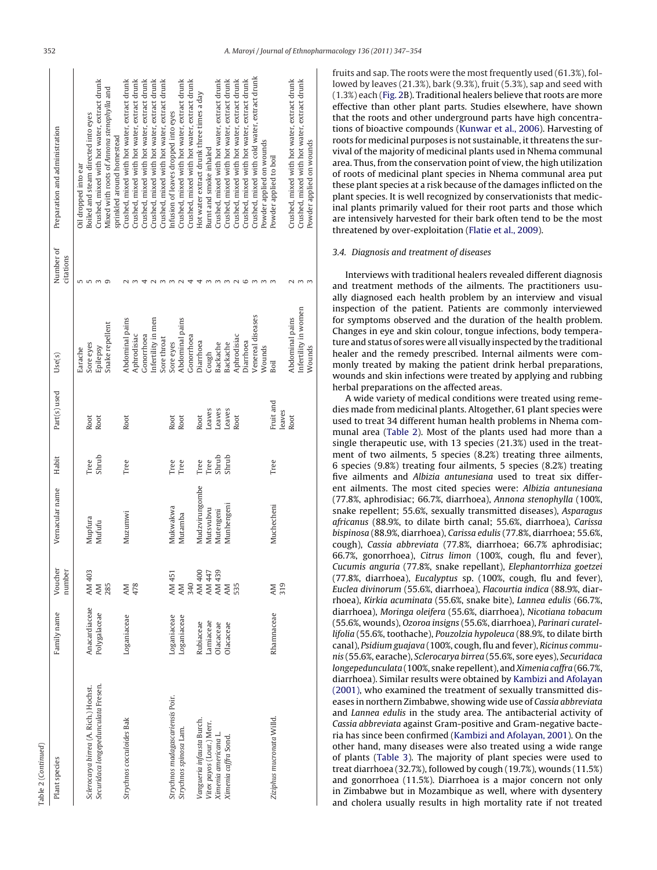| Table 2 (Continued)                   |               |                   |                 |       |              |                      |                        |                                               |
|---------------------------------------|---------------|-------------------|-----------------|-------|--------------|----------------------|------------------------|-----------------------------------------------|
| Plant species                         | Family name   | Voucher<br>number | Vernacular name | Habit | Part(s) used | Use(s)               | Number of<br>citations | Preparation and administration                |
|                                       |               |                   |                 |       |              | Earache              |                        | Oil dropped into ear                          |
| Sclerocarya birrea (A. Rich.) Hochst. | Anacardiaceae | AM 403            | Mupfura         | Tree  | Root         | Sore eyes            |                        | Boiled and steam directed into eyes           |
| Securidaca longepedunculata Fresen.   | Polygalaceae  |                   | Mufufu          | Shrub | Root         | Epilepsy             |                        | Crushed, mixed with hot water, extract drunk  |
|                                       |               | AM<br>285         |                 |       |              | Snake repellent      |                        | Vlixed with roots of Annona stenophylla and   |
|                                       |               |                   |                 |       |              |                      |                        | sprinkled around homestead                    |
| Strychnos cocculoides Bak             | Loganiaceae   | AM.               | Muzumwi         | Tree  | Root         | Abdominal pains      |                        | Crushed, mixed with hot water, extract drunk  |
|                                       |               | 478               |                 |       |              | Aphrodisiac          |                        | Irushed, mixed with hot water, extract drunk  |
|                                       |               |                   |                 |       |              | Gonorrhoea           |                        | Crushed, mixed with hot water, extract drunk  |
|                                       |               |                   |                 |       |              | Infertility in men   |                        | Crushed, mixed with hot water, extract drunk  |
|                                       |               |                   |                 |       |              | Sore throat          |                        | Crushed, mixed with hot water, extract drunk  |
| Strychnos madagascariensis Poir.      | Loganiaceae   | AM 451            | Mukwakwa        | Tree  | Root         | Sore eyes            |                        | nfusion of leaves dropped into eyes           |
| Strychnos spinosa Lam.                | Loganiaceae   | AM                | Mutamba         | Tree  | Root         | Abdominal pains      |                        | Crushed, mixed with hot water, extract drunk  |
|                                       |               | 340               |                 |       |              | Gonorrhoea           |                        | Crushed, mixed with hot water, extract drunk  |
| Vangueria infausta Burch.             | Rubiaceae     | AM 400            | Mudzvirungombe  | Tree  | Root         | Diarrhoea            |                        | Hot water extract drunk three times a day     |
| Vitex payos (Lour.) Merr.             | Lamiaceae     |                   | Mutsvubvu       | Tree  | Leaves       | Cough                |                        | Burnt and smoke inhaled                       |
| Ximenia americana L.                  | Olacaceae     | AM 447<br>AM 439  | Mutengeni       | Shrub | Leaves       | Backache             |                        | Crushed, mixed with hot water, extract drunk  |
| Ximenia caffra Sond.                  | Olacaceae     | KN                | Munhengeni      | Shrub | Leaves       | Backache             |                        | Crushed, mixed with hot water, extract drunk  |
|                                       |               | 535               |                 |       | Root         | Aphrodisiac          |                        | Crushed, mixed with hot water, extract drunk  |
|                                       |               |                   |                 |       |              | Diarrhoea            |                        | Crushed, mixed with hot water, extract drunk  |
|                                       |               |                   |                 |       |              | Venereal diseases    |                        | Crushed, mixed with cold water, extract drunk |
|                                       |               |                   |                 |       |              | Wounds               |                        | Powder applied on wounds                      |
| Ziziphus mucronata Willd.             | Rhamnaceae    | ΚŇ                | Muchecheni      | Tree  | Fruit and    | Boil                 |                        | Powder applied to boil                        |
|                                       |               | 319               |                 |       | leaves       |                      |                        |                                               |
|                                       |               |                   |                 |       | Root         | Abdominal pains      |                        | Crushed, mixed with hot water, extract drunk  |
|                                       |               |                   |                 |       |              | Infertility in women |                        | Crushed, mixed with hot water, extract drunk  |
|                                       |               |                   |                 |       |              | Wounds               |                        | Powder applied on wounds                      |

fruits and sap. The roots were the most frequently used (61.3%), followed by leaves (21.3%), bark (9.3%), fruit (5.3%), sap and seed with (1.3%) each [\(Fig. 2B\)](#page-2-0). Traditional healers believe that roots are more effective than other plant parts. Studies elsewhere, have shown that the roots and other underground parts have high concentrations of bioactive compounds ([Kunwar et al., 2006\).](#page-7-0) Harvesting of roots for medicinal purposes is not sustainable, it threatens the survival of the majority of medicinal plants used in Nhema communal area. Thus, from the conservation point of view, the high utilization of roots of medicinal plant species in Nhema communal area put these plant species at a risk because of the damages inflicted on the plant species. It is well recognized by conservationists that medicinal plants primarily valued for their root parts and those which are intensively harvested for their bark often tend to be the most threatened by over-exploitation ([Flatie et al., 2009\).](#page-7-0)

## 3.4. Diagnosis and treatment of diseases

Interviews with traditional healers revealed different diagnosis and treatment methods of the ailments. The practitioners usually diagnosed each health problem by an interview and visual inspection of the patient. Patients are commonly interviewed for symptoms observed and the duration of the health problem. Changes in eye and skin colour, tongue infections, body temperature and status of sores were all visually inspected by the traditional healer and the remedy prescribed. Internal ailments were commonly treated by making the patient drink herbal preparations, wounds and skin infections were treated by applying and rubbing herbal preparations on the affected areas.

A wide variety of medical conditions were treated using remedies made from medicinal plants. Altogether, 61 plant species were used to treat 34 different human health problems in Nhema communal area [\(Table 2\).](#page-3-0) Most of the plants used had more than a single therapeutic use, with 13 species (21.3%) used in the treatment of two ailments, 5 species (8.2%) treating three ailments, 6 species (9.8%) treating four ailments, 5 species (8.2%) treating five ailments and Albizia antunesiana used to treat six different ailments. The most cited species were: Albizia antunesiana (77.8%, aphrodisiac; 66.7%, diarrhoea), Annona stenophylla (100%, snake repellent; 55.6%, sexually transmitted diseases), Asparagus africanus (88.9%, to dilate birth canal; 55.6%, diarrhoea), Carissa bispinosa (88.9%, diarrhoea), Carissa edulis (77.8%, diarrhoea; 55.6%, cough), Cassia abbreviata (77.8%, diarrhoea; 66.7% aphrodisiac; 66.7%, gonorrhoea), Citrus limon (100%, cough, flu and fever), Cucumis anguria (77.8%, snake repellant), Elephantorrhiza goetzei (77.8%, diarrhoea), Eucalyptus sp. (100%, cough, flu and fever), Euclea divinorum (55.6%, diarrhoea), Flacourtia indica (88.9%, diarrhoea), Kirkia acuminata (55.6%, snake bite), Lannea edulis (66.7%, diarrhoea), Moringa oleifera (55.6%, diarrhoea), Nicotiana tobacum (55.6%, wounds), Ozoroa insigns (55.6%, diarrhoea), Parinari curatellifolia (55.6%, toothache), Pouzolzia hypoleuca (88.9%, to dilate birth canal), Psidium guajava (100%, cough, flu and fever), Ricinus communis (55.6%, earache), Sclerocarya birrea (55.6%, sore eyes), Securidaca longepedunculata (100%, snake repellent), and Ximenia caffra (66.7%, diarrhoea). Similar results were obtained by [Kambizi and Afolayan](#page-7-0) [\(2001\), w](#page-7-0)ho examined the treatment of sexually transmitted diseases in northern Zimbabwe, showing wide use of Cassia abbreviata and Lannea edulis in the study area. The antibacterial activity of Cassia abbreviata against Gram-positive and Gram-negative bacteria has since been confirmed ([Kambizi and Afolayan, 2001\).](#page-7-0) On the other hand, many diseases were also treated using a wide range of plants ([Table 3\).](#page-6-0) The majority of plant species were used to treat diarrhoea (32.7%), followed by cough (19.7%), wounds (11.5%) and gonorrhoea (11.5%). Diarrhoea is a major concern not only in Zimbabwe but in Mozambique as well, where with dysentery and cholera usually results in high mortality rate if not treated

 $\overline{1}$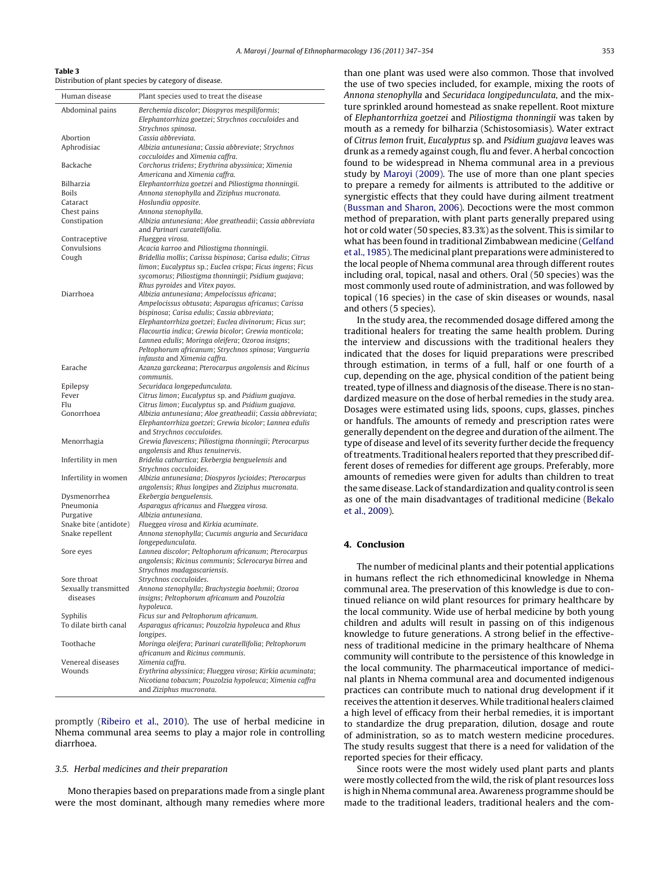#### <span id="page-6-0"></span>**Table 3**

Distribution of plant species by category of disease.

| Human disease                                                                                                                           | Plant species used to treat the disease                                                                                                                                                                                                                                                                                                                                                                                                                                                                       |
|-----------------------------------------------------------------------------------------------------------------------------------------|---------------------------------------------------------------------------------------------------------------------------------------------------------------------------------------------------------------------------------------------------------------------------------------------------------------------------------------------------------------------------------------------------------------------------------------------------------------------------------------------------------------|
| Abdominal pains                                                                                                                         | Berchemia discolor; Diospyros mespiliformis;<br>Elephantorrhiza goetzei; Strychnos cocculoides and                                                                                                                                                                                                                                                                                                                                                                                                            |
|                                                                                                                                         | Strychnos spinosa.                                                                                                                                                                                                                                                                                                                                                                                                                                                                                            |
| Abortion                                                                                                                                | Cassia abbreviata.                                                                                                                                                                                                                                                                                                                                                                                                                                                                                            |
| Aphrodisiac                                                                                                                             | Albizia antunesiana; Cassia abbreviate; Strychnos<br>cocculoides and Ximenia caffra.                                                                                                                                                                                                                                                                                                                                                                                                                          |
| Backache                                                                                                                                | Corchorus tridens; Erythrina abyssinica; Ximenia                                                                                                                                                                                                                                                                                                                                                                                                                                                              |
|                                                                                                                                         | Americana and Ximenia caffra.                                                                                                                                                                                                                                                                                                                                                                                                                                                                                 |
| Bilharzia                                                                                                                               | Elephantorrhiza goetzei and Piliostigma thonningii.                                                                                                                                                                                                                                                                                                                                                                                                                                                           |
| <b>Boils</b><br>Cataract                                                                                                                | Annona stenophylla and Ziziphus mucronata.<br>Hoslundia opposite.                                                                                                                                                                                                                                                                                                                                                                                                                                             |
| Chest pains                                                                                                                             | Annona stenophylla.                                                                                                                                                                                                                                                                                                                                                                                                                                                                                           |
| Constipation                                                                                                                            | Albizia antunesiana; Aloe greatheadii; Cassia abbreviata                                                                                                                                                                                                                                                                                                                                                                                                                                                      |
|                                                                                                                                         | and Parinari curatellifolia.                                                                                                                                                                                                                                                                                                                                                                                                                                                                                  |
| Contraceptive                                                                                                                           | Flueggea virosa.                                                                                                                                                                                                                                                                                                                                                                                                                                                                                              |
| Convulsions<br>Cough                                                                                                                    | Acacia karroo and Piliostigma thonningii.<br>Bridellia mollis; Carissa bispinosa; Carisa edulis; Citrus                                                                                                                                                                                                                                                                                                                                                                                                       |
|                                                                                                                                         | limon; Eucalyptus sp.; Euclea crispa; Ficus ingens; Ficus                                                                                                                                                                                                                                                                                                                                                                                                                                                     |
|                                                                                                                                         | sycomorus; Piliostigma thonningii; Psidium guajava;                                                                                                                                                                                                                                                                                                                                                                                                                                                           |
|                                                                                                                                         | Rhus pyroides and Vitex payos.                                                                                                                                                                                                                                                                                                                                                                                                                                                                                |
| Diarrhoea                                                                                                                               | Albizia antunesiana; Ampelocissus africana;                                                                                                                                                                                                                                                                                                                                                                                                                                                                   |
|                                                                                                                                         | Ampelocissus obtusata; Asparagus africanus; Carissa<br>bispinosa; Carisa edulis; Cassia abbreviata;                                                                                                                                                                                                                                                                                                                                                                                                           |
|                                                                                                                                         | Elephantorrhiza goetzei; Euclea divinorum; Ficus sur;                                                                                                                                                                                                                                                                                                                                                                                                                                                         |
|                                                                                                                                         | Flacourtia indica; Grewia bicolor; Grewia monticola;                                                                                                                                                                                                                                                                                                                                                                                                                                                          |
|                                                                                                                                         | Lannea edulis; Moringa oleifera; Ozoroa insigns;                                                                                                                                                                                                                                                                                                                                                                                                                                                              |
|                                                                                                                                         | Peltophorum africanum; Strychnos spinosa; Vangueria                                                                                                                                                                                                                                                                                                                                                                                                                                                           |
| Earache                                                                                                                                 | infausta and Ximenia caffra.<br>Azanza garckeana; Pterocarpus angolensis and Ricinus                                                                                                                                                                                                                                                                                                                                                                                                                          |
|                                                                                                                                         | communis.                                                                                                                                                                                                                                                                                                                                                                                                                                                                                                     |
| Epilepsy                                                                                                                                | Securidaca longepedunculata.                                                                                                                                                                                                                                                                                                                                                                                                                                                                                  |
| Fever                                                                                                                                   | Citrus limon; Eucalyptus sp. and Psidium guajava.                                                                                                                                                                                                                                                                                                                                                                                                                                                             |
| Flu                                                                                                                                     | Citrus limon; Eucalyptus sp. and Psidium guajava.                                                                                                                                                                                                                                                                                                                                                                                                                                                             |
| Gonorrhoea                                                                                                                              | Albizia antunesiana; Aloe greatheadii; Cassia abbreviata;                                                                                                                                                                                                                                                                                                                                                                                                                                                     |
|                                                                                                                                         | Elephantorrhiza goetzei; Grewia bicolor; Lannea edulis<br>and Strychnos cocculoides.                                                                                                                                                                                                                                                                                                                                                                                                                          |
| Menorrhagia                                                                                                                             | Grewia flavescens; Piliostigma thonningii; Pterocarpus                                                                                                                                                                                                                                                                                                                                                                                                                                                        |
|                                                                                                                                         | angolensis and Rhus tenuinervis.                                                                                                                                                                                                                                                                                                                                                                                                                                                                              |
| Infertility in men                                                                                                                      | Bridelia cathartica; Ekebergia benguelensis and                                                                                                                                                                                                                                                                                                                                                                                                                                                               |
|                                                                                                                                         | Strychnos cocculoides.                                                                                                                                                                                                                                                                                                                                                                                                                                                                                        |
| Infertility in women                                                                                                                    | Albizia antunesiana; Diospyros lycioides; Pterocarpus<br>angolensis; Rhus longipes and Ziziphus mucronata.                                                                                                                                                                                                                                                                                                                                                                                                    |
| Dysmenorrhea                                                                                                                            | Ekebergia benguelensis.                                                                                                                                                                                                                                                                                                                                                                                                                                                                                       |
| Pneumonia                                                                                                                               | Asparagus africanus and Flueggea virosa.                                                                                                                                                                                                                                                                                                                                                                                                                                                                      |
| Purgative                                                                                                                               | Albizia antunesiana.                                                                                                                                                                                                                                                                                                                                                                                                                                                                                          |
|                                                                                                                                         |                                                                                                                                                                                                                                                                                                                                                                                                                                                                                                               |
|                                                                                                                                         |                                                                                                                                                                                                                                                                                                                                                                                                                                                                                                               |
|                                                                                                                                         |                                                                                                                                                                                                                                                                                                                                                                                                                                                                                                               |
|                                                                                                                                         | angolensis; Ricinus communis; Sclerocarya birrea and                                                                                                                                                                                                                                                                                                                                                                                                                                                          |
|                                                                                                                                         | Strychnos madagascariensis.                                                                                                                                                                                                                                                                                                                                                                                                                                                                                   |
| Sore throat                                                                                                                             | Strychnos cocculoides.                                                                                                                                                                                                                                                                                                                                                                                                                                                                                        |
|                                                                                                                                         |                                                                                                                                                                                                                                                                                                                                                                                                                                                                                                               |
|                                                                                                                                         |                                                                                                                                                                                                                                                                                                                                                                                                                                                                                                               |
|                                                                                                                                         |                                                                                                                                                                                                                                                                                                                                                                                                                                                                                                               |
| To dilate birth canal                                                                                                                   | Asparagus africanus; Pouzolzia hypoleuca and Rhus                                                                                                                                                                                                                                                                                                                                                                                                                                                             |
|                                                                                                                                         | longipes.                                                                                                                                                                                                                                                                                                                                                                                                                                                                                                     |
|                                                                                                                                         |                                                                                                                                                                                                                                                                                                                                                                                                                                                                                                               |
|                                                                                                                                         |                                                                                                                                                                                                                                                                                                                                                                                                                                                                                                               |
| Wounds                                                                                                                                  |                                                                                                                                                                                                                                                                                                                                                                                                                                                                                                               |
|                                                                                                                                         | Nicotiana tobacum; Pouzolzia hypoleuca; Ximenia caffra                                                                                                                                                                                                                                                                                                                                                                                                                                                        |
|                                                                                                                                         | and Ziziphus mucronata.                                                                                                                                                                                                                                                                                                                                                                                                                                                                                       |
| Snake bite (antidote)<br>Snake repellent<br>Sore eyes<br>Sexually transmitted<br>diseases<br>Syphilis<br>Toothache<br>Venereal diseases | Flueggea virosa and Kirkia acuminate.<br>Annona stenophylla; Cucumis anguria and Securidaca<br>longepedunculata.<br>Lannea discolor; Peltophorum africanum; Pterocarpus<br>Annona stenophylla; Brachystegia boehmii; Ozoroa<br>insigns; Peltophorum africanum and Pouzolzia<br>hypoleuca.<br>Ficus sur and Peltophorum africanum.<br>Moringa oleifera; Parinari curatellifolia; Peltophorum<br>africanum and Ricinus communis.<br>Ximenia caffra.<br>Erythrina abyssinica; Flueggea virosa; Kirkia acuminata; |

promptly ([Ribeiro et al., 2010\).](#page-7-0) The use of herbal medicine in Nhema communal area seems to play a major role in controlling diarrhoea.

## 3.5. Herbal medicines and their preparation

Mono therapies based on preparations made from a single plant were the most dominant, although many remedies where more than one plant was used were also common. Those that involved the use of two species included, for example, mixing the roots of Annona stenophylla and Securidaca longipedunculata, and the mixture sprinkled around homestead as snake repellent. Root mixture of Elephantorrhiza goetzei and Piliostigma thonningii was taken by mouth as a remedy for bilharzia (Schistosomiasis). Water extract of Citrus lemon fruit, Eucalyptus sp. and Psidium guajava leaves was drunk as a remedy against cough, flu and fever. A herbal concoction found to be widespread in Nhema communal area in a previous study by [Maroyi \(2009\).](#page-7-0) The use of more than one plant species to prepare a remedy for ailments is attributed to the additive or synergistic effects that they could have during ailment treatment [\(Bussman and Sharon, 2006\).](#page-7-0) Decoctions were the most common method of preparation, with plant parts generally prepared using hot or cold water (50 species, 83.3%) as the solvent. This is similar to what has been found in traditional Zimbabwean medicine [\(Gelfand](#page-7-0) [et al., 1985\).](#page-7-0) Themedicinal plant preparations were administered to the local people of Nhema communal area through different routes including oral, topical, nasal and others. Oral (50 species) was the most commonly used route of administration, and was followed by topical (16 species) in the case of skin diseases or wounds, nasal and others (5 species).

In the study area, the recommended dosage differed among the traditional healers for treating the same health problem. During the interview and discussions with the traditional healers they indicated that the doses for liquid preparations were prescribed through estimation, in terms of a full, half or one fourth of a cup, depending on the age, physical condition of the patient being treated, type of illness and diagnosis of the disease. There is no standardized measure on the dose of herbal remedies in the study area. Dosages were estimated using lids, spoons, cups, glasses, pinches or handfuls. The amounts of remedy and prescription rates were generally dependent on the degree and duration of the ailment. The type of disease and level of its severity further decide the frequency of treatments. Traditional healers reported that they prescribed different doses of remedies for different age groups. Preferably, more amounts of remedies were given for adults than children to treat the same disease. Lack of standardization and quality control is seen as one of the main disadvantages of traditional medicine [\(Bekalo](#page-7-0) [et al., 2009\).](#page-7-0)

## **4. Conclusion**

The number of medicinal plants and their potential applications in humans reflect the rich ethnomedicinal knowledge in Nhema communal area. The preservation of this knowledge is due to continued reliance on wild plant resources for primary healthcare by the local community. Wide use of herbal medicine by both young children and adults will result in passing on of this indigenous knowledge to future generations. A strong belief in the effectiveness of traditional medicine in the primary healthcare of Nhema community will contribute to the persistence of this knowledge in the local community. The pharmaceutical importance of medicinal plants in Nhema communal area and documented indigenous practices can contribute much to national drug development if it receives the attention it deserves.While traditional healers claimed a high level of efficacy from their herbal remedies, it is important to standardize the drug preparation, dilution, dosage and route of administration, so as to match western medicine procedures. The study results suggest that there is a need for validation of the reported species for their efficacy.

Since roots were the most widely used plant parts and plants were mostly collected from the wild, the risk of plant resources loss is high in Nhema communal area. Awareness programme should be made to the traditional leaders, traditional healers and the com